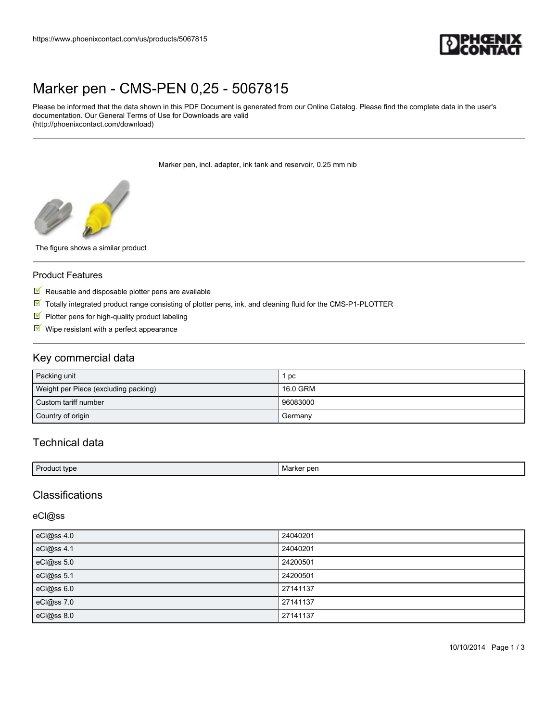

# [Marker pen - CMS-PEN 0,25 - 5067815](https://www.phoenixcontact.com/us/products/5067815)

Please be informed that the data shown in this PDF Document is generated from our Online Catalog. Please find the complete data in the user's documentation. Our General Terms of Use for Downloads are valid (http://phoenixcontact.com/download)

Marker pen, incl. adapter, ink tank and reservoir, 0.25 mm nib



The figure shows a similar product

#### Product Features

- $\blacksquare$  Reusable and disposable plotter pens are available
- Totally integrated product range consisting of plotter pens, ink, and cleaning fluid for the CMS-P1-PLOTTER
- $\blacksquare$  Plotter pens for high-quality product labeling
- $\blacksquare$  Wipe resistant with a perfect appearance

### Key commercial data

| Packing unit                         | pc       |
|--------------------------------------|----------|
| Weight per Piece (excluding packing) | 16.0 GRM |
| Custom tariff number                 | 96083000 |
| Country of origin                    | Germany  |

# Technical data

| - مولا   | <sup>o</sup> per |
|----------|------------------|
| * tvne.  | <b>IVIALKEL</b>  |
| $\alpha$ | __               |
| $-$      | _____            |
|          |                  |

## **Classifications**

#### eCl@ss

| eCl@ss 4.0 | 24040201 |
|------------|----------|
| eCl@ss 4.1 | 24040201 |
| eCl@ss 5.0 | 24200501 |
| eCl@ss 5.1 | 24200501 |
| eCl@ss 6.0 | 27141137 |
| eCl@ss 7.0 | 27141137 |
| eCl@ss 8.0 | 27141137 |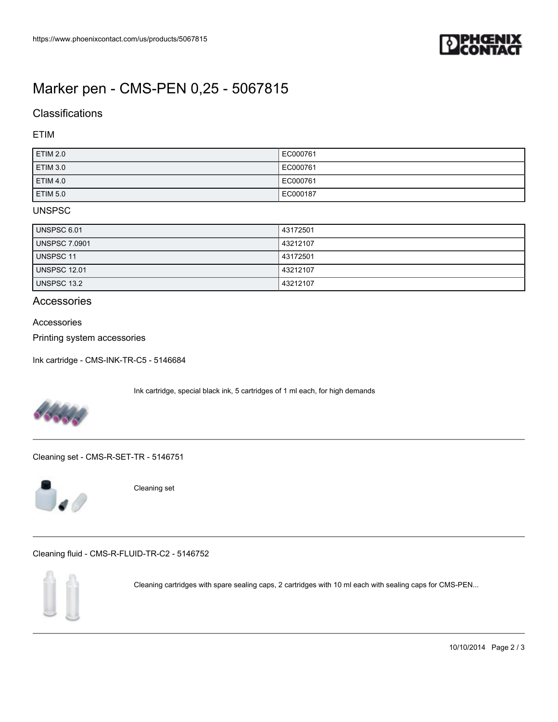

# [Marker pen - CMS-PEN 0,25 - 5067815](https://www.phoenixcontact.com/us/products/5067815)

# **Classifications**

### ETIM

| <b>ETIM 2.0</b> | EC000761 |
|-----------------|----------|
| ETIM 3.0        | EC000761 |
| <b>ETIM 4.0</b> | EC000761 |
| ETIM 5.0        | EC000187 |

### UNSPSC

| UNSPSC 6.01          | 43172501 |
|----------------------|----------|
| <b>UNSPSC 7.0901</b> | 43212107 |
| UNSPSC 11            | 43172501 |
| <b>UNSPSC 12.01</b>  | 43212107 |
| <b>UNSPSC 13.2</b>   | 43212107 |

### Accessories

Accessories

Printing system accessories

[Ink cartridge - CMS-INK-TR-C5 - 5146684](https://www.phoenixcontact.com/us/products/5146684)

Ink cartridge, special black ink, 5 cartridges of 1 ml each, for high demands



[Cleaning set - CMS-R-SET-TR - 5146751](https://www.phoenixcontact.com/us/products/5146751)



Cleaning set

[Cleaning fluid - CMS-R-FLUID-TR-C2 - 5146752](https://www.phoenixcontact.com/us/products/5146752)



Cleaning cartridges with spare sealing caps, 2 cartridges with 10 ml each with sealing caps for CMS-PEN...